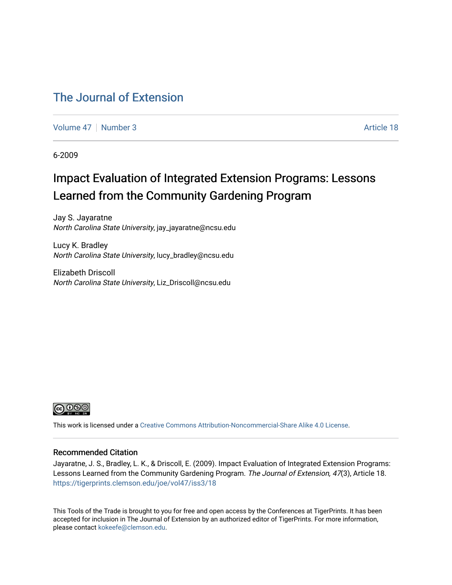### [The Journal of Extension](https://tigerprints.clemson.edu/joe)

[Volume 47](https://tigerprints.clemson.edu/joe/vol47) | [Number 3](https://tigerprints.clemson.edu/joe/vol47/iss3) Article 18

6-2009

## Impact Evaluation of Integrated Extension Programs: Lessons Learned from the Community Gardening Program

Jay S. Jayaratne North Carolina State University, jay\_jayaratne@ncsu.edu

Lucy K. Bradley North Carolina State University, lucy\_bradley@ncsu.edu

Elizabeth Driscoll North Carolina State University, Liz\_Driscoll@ncsu.edu



This work is licensed under a [Creative Commons Attribution-Noncommercial-Share Alike 4.0 License.](https://creativecommons.org/licenses/by-nc-sa/4.0/)

#### Recommended Citation

Jayaratne, J. S., Bradley, L. K., & Driscoll, E. (2009). Impact Evaluation of Integrated Extension Programs: Lessons Learned from the Community Gardening Program. The Journal of Extension, 47(3), Article 18. <https://tigerprints.clemson.edu/joe/vol47/iss3/18>

This Tools of the Trade is brought to you for free and open access by the Conferences at TigerPrints. It has been accepted for inclusion in The Journal of Extension by an authorized editor of TigerPrints. For more information, please contact [kokeefe@clemson.edu](mailto:kokeefe@clemson.edu).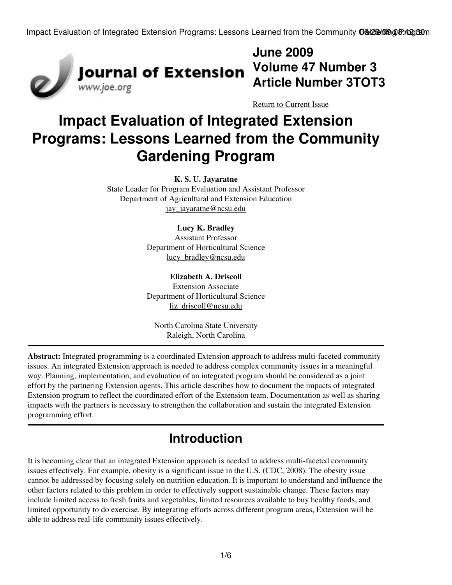

**June 2009 Article Number 3TOT3**

[Return to Current Issue](http://www.joe.org:80/joe/2009june/)

# **Impact Evaluation of Integrated Extension Programs: Lessons Learned from the Community Gardening Program**

**K. S. U. Jayaratne**

State Leader for Program Evaluation and Assistant Professor Department of Agricultural and Extension Education [jay\\_jayaratne@ncsu.edu](mailto:jay_jayaratne@ncsu.edu)

#### **Lucy K. Bradley**

Assistant Professor Department of Horticultural Science [lucy\\_bradley@ncsu.edu](mailto:lucy_bradley@ncsu.edu)

**Elizabeth A. Driscoll** Extension Associate Department of Horticultural Science [liz\\_driscoll@ncsu.edu](mailto:liz_driscoll@ncsu.edu)

North Carolina State University Raleigh, North Carolina

**Abstract:** Integrated programming is a coordinated Extension approach to address multi-faceted community issues. An integrated Extension approach is needed to address complex community issues in a meaningful way. Planning, implementation, and evaluation of an integrated program should be considered as a joint effort by the partnering Extension agents. This article describes how to document the impacts of integrated Extension program to reflect the coordinated effort of the Extension team. Documentation as well as sharing impacts with the partners is necessary to strengthen the collaboration and sustain the integrated Extension programming effort.

## **Introduction**

It is becoming clear that an integrated Extension approach is needed to address multi-faceted community issues effectively. For example, obesity is a significant issue in the U.S. (CDC, 2008). The obesity issue cannot be addressed by focusing solely on nutrition education. It is important to understand and influence the other factors related to this problem in order to effectively support sustainable change. These factors may include limited access to fresh fruits and vegetables, limited resources available to buy healthy foods, and limited opportunity to do exercise. By integrating efforts across different program areas, Extension will be able to address real-life community issues effectively.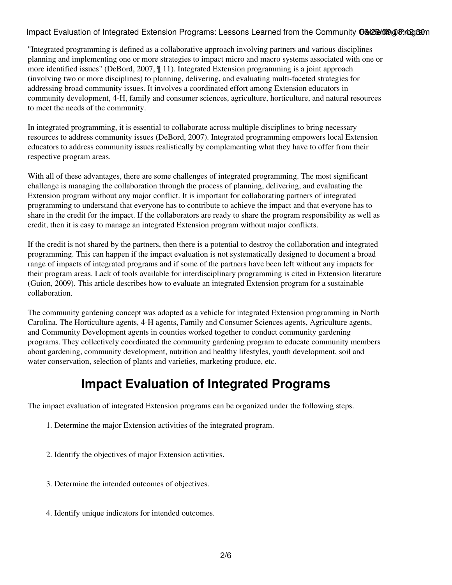"Integrated programming is defined as a collaborative approach involving partners and various disciplines planning and implementing one or more strategies to impact micro and macro systems associated with one or more identified issues" (DeBord, 2007, ¶ 11). Integrated Extension programming is a joint approach (involving two or more disciplines) to planning, delivering, and evaluating multi-faceted strategies for addressing broad community issues. It involves a coordinated effort among Extension educators in community development, 4-H, family and consumer sciences, agriculture, horticulture, and natural resources to meet the needs of the community.

In integrated programming, it is essential to collaborate across multiple disciplines to bring necessary resources to address community issues (DeBord, 2007). Integrated programming empowers local Extension educators to address community issues realistically by complementing what they have to offer from their respective program areas.

With all of these advantages, there are some challenges of integrated programming. The most significant challenge is managing the collaboration through the process of planning, delivering, and evaluating the Extension program without any major conflict. It is important for collaborating partners of integrated programming to understand that everyone has to contribute to achieve the impact and that everyone has to share in the credit for the impact. If the collaborators are ready to share the program responsibility as well as credit, then it is easy to manage an integrated Extension program without major conflicts.

If the credit is not shared by the partners, then there is a potential to destroy the collaboration and integrated programming. This can happen if the impact evaluation is not systematically designed to document a broad range of impacts of integrated programs and if some of the partners have been left without any impacts for their program areas. Lack of tools available for interdisciplinary programming is cited in Extension literature (Guion, 2009). This article describes how to evaluate an integrated Extension program for a sustainable collaboration.

The community gardening concept was adopted as a vehicle for integrated Extension programming in North Carolina. The Horticulture agents, 4-H agents, Family and Consumer Sciences agents, Agriculture agents, and Community Development agents in counties worked together to conduct community gardening programs. They collectively coordinated the community gardening program to educate community members about gardening, community development, nutrition and healthy lifestyles, youth development, soil and water conservation, selection of plants and varieties, marketing produce, etc.

## **Impact Evaluation of Integrated Programs**

The impact evaluation of integrated Extension programs can be organized under the following steps.

- 1. Determine the major Extension activities of the integrated program.
- 2. Identify the objectives of major Extension activities.
- 3. Determine the intended outcomes of objectives.
- 4. Identify unique indicators for intended outcomes.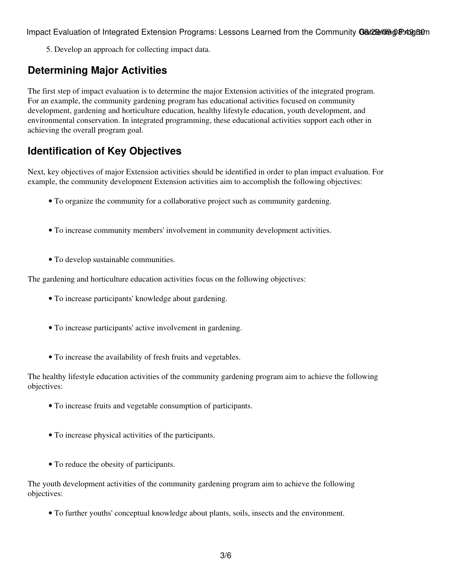5. Develop an approach for collecting impact data.

### **Determining Major Activities**

The first step of impact evaluation is to determine the major Extension activities of the integrated program. For an example, the community gardening program has educational activities focused on community development, gardening and horticulture education, healthy lifestyle education, youth development, and environmental conservation. In integrated programming, these educational activities support each other in achieving the overall program goal.

### **Identification of Key Objectives**

Next, key objectives of major Extension activities should be identified in order to plan impact evaluation. For example, the community development Extension activities aim to accomplish the following objectives:

- To organize the community for a collaborative project such as community gardening.
- To increase community members' involvement in community development activities.
- To develop sustainable communities.

The gardening and horticulture education activities focus on the following objectives:

- To increase participants' knowledge about gardening.
- To increase participants' active involvement in gardening.
- To increase the availability of fresh fruits and vegetables.

The healthy lifestyle education activities of the community gardening program aim to achieve the following objectives:

- To increase fruits and vegetable consumption of participants.
- To increase physical activities of the participants.
- To reduce the obesity of participants.

The youth development activities of the community gardening program aim to achieve the following objectives:

• To further youths' conceptual knowledge about plants, soils, insects and the environment.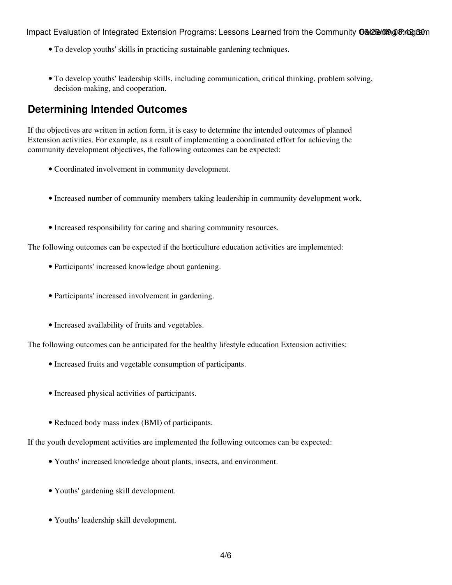- To develop youths' skills in practicing sustainable gardening techniques.
- To develop youths' leadership skills, including communication, critical thinking, problem solving, decision-making, and cooperation.

#### **Determining Intended Outcomes**

If the objectives are written in action form, it is easy to determine the intended outcomes of planned Extension activities. For example, as a result of implementing a coordinated effort for achieving the community development objectives, the following outcomes can be expected:

- Coordinated involvement in community development.
- Increased number of community members taking leadership in community development work.
- Increased responsibility for caring and sharing community resources.

The following outcomes can be expected if the horticulture education activities are implemented:

- Participants' increased knowledge about gardening.
- Participants' increased involvement in gardening.
- Increased availability of fruits and vegetables.

The following outcomes can be anticipated for the healthy lifestyle education Extension activities:

- Increased fruits and vegetable consumption of participants.
- Increased physical activities of participants.
- Reduced body mass index (BMI) of participants.

If the youth development activities are implemented the following outcomes can be expected:

- Youths' increased knowledge about plants, insects, and environment.
- Youths' gardening skill development.
- Youths' leadership skill development.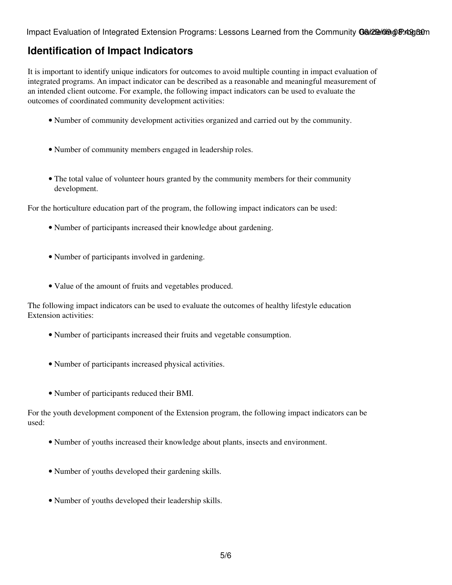#### **Identification of Impact Indicators**

It is important to identify unique indicators for outcomes to avoid multiple counting in impact evaluation of integrated programs. An impact indicator can be described as a reasonable and meaningful measurement of an intended client outcome. For example, the following impact indicators can be used to evaluate the outcomes of coordinated community development activities:

- Number of community development activities organized and carried out by the community.
- Number of community members engaged in leadership roles.
- The total value of volunteer hours granted by the community members for their community development.

For the horticulture education part of the program, the following impact indicators can be used:

- Number of participants increased their knowledge about gardening.
- Number of participants involved in gardening.
- Value of the amount of fruits and vegetables produced.

The following impact indicators can be used to evaluate the outcomes of healthy lifestyle education Extension activities:

- Number of participants increased their fruits and vegetable consumption.
- Number of participants increased physical activities.
- Number of participants reduced their BMI.

For the youth development component of the Extension program, the following impact indicators can be used:

- Number of youths increased their knowledge about plants, insects and environment.
- Number of youths developed their gardening skills.
- Number of youths developed their leadership skills.